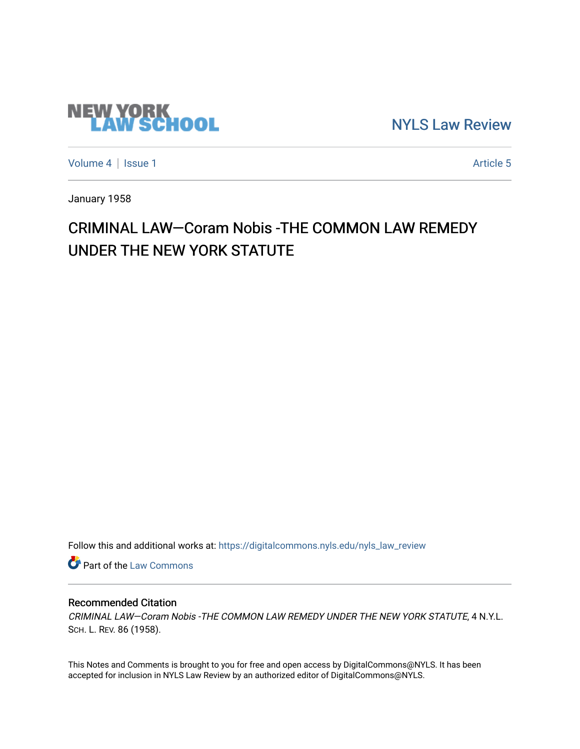

[NYLS Law Review](https://digitalcommons.nyls.edu/nyls_law_review) 

[Volume 4](https://digitalcommons.nyls.edu/nyls_law_review/vol4) | [Issue 1](https://digitalcommons.nyls.edu/nyls_law_review/vol4/iss1) Article 5

January 1958

## CRIMINAL LAW-Coram Nobis -THE COMMON LAW REMEDY UNDER THE NEW YORK STATUTE

Follow this and additional works at: [https://digitalcommons.nyls.edu/nyls\\_law\\_review](https://digitalcommons.nyls.edu/nyls_law_review?utm_source=digitalcommons.nyls.edu%2Fnyls_law_review%2Fvol4%2Fiss1%2F5&utm_medium=PDF&utm_campaign=PDFCoverPages) 

**Part of the [Law Commons](https://network.bepress.com/hgg/discipline/578?utm_source=digitalcommons.nyls.edu%2Fnyls_law_review%2Fvol4%2Fiss1%2F5&utm_medium=PDF&utm_campaign=PDFCoverPages)** 

## Recommended Citation

CRIMINAL LAW—Coram Nobis -THE COMMON LAW REMEDY UNDER THE NEW YORK STATUTE, 4 N.Y.L. SCH. L. REV. 86 (1958).

This Notes and Comments is brought to you for free and open access by DigitalCommons@NYLS. It has been accepted for inclusion in NYLS Law Review by an authorized editor of DigitalCommons@NYLS.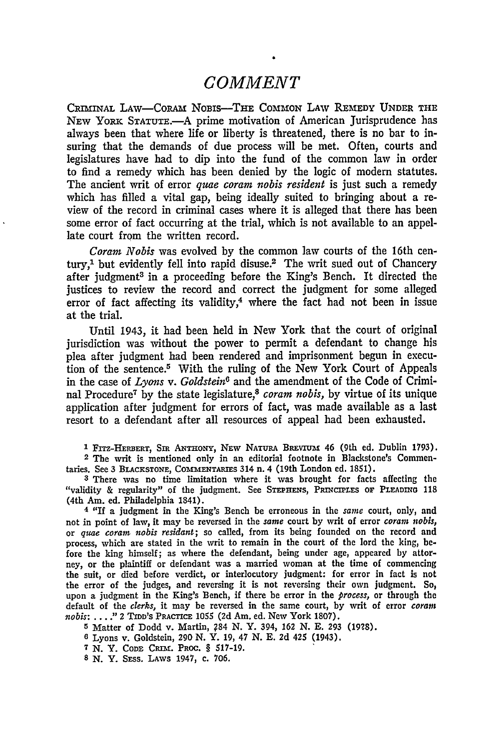## *COMMENT*

CRIMINAL LAW--CoRAm NOBIS-THE COMMON LAW REMEDY UNDER **THE** NEW **YoRK STATUTE.-A** prime motivation of American Jurisprudence has always been that where life or liberty is threatened, there is no bar to insuring that the demands of due process will be met. Often, courts and legislatures have had to dip into the fund of the common law in order to find a remedy which has been denied by the logic of modern statutes. The ancient writ of error *quae coram nobis resident* is just such a remedy which has filled a vital gap, being ideally suited to bringing about a review of the record in criminal cases where it is alleged that there has been some error of fact occurring at the trial, which is not available to an appellate court from the written record.

*Coram Nobis* was evolved **by** the common law courts of the 16th century,<sup>1</sup> but evidently fell into rapid disuse.<sup>2</sup> The writ sued out of Chancery after judgment<sup>3</sup> in a proceeding before the King's Bench. It directed the justices to review the record and correct the judgment for some alleged error of fact affecting its validity,<sup>4</sup> where the fact had not been in issue at the trial.

Until 1943, it had been held in New York that the court of original jurisdiction was without the power to permit a defendant to change his plea after judgment had been rendered and imprisonment begun in execution of the sentence.<sup>5</sup> With the ruling of the New York Court of Appeals in the case of *Lyons v. Goldstein6* and the amendment of the Code of Criminal Procedure <sup>7</sup>**by** the state legislature,8 *coram nobis,* **by** virtue of its unique application after judgment for errors of fact, was made available as a last resort to a defendant after all resources of appeal had been exhausted.

<sup>1</sup> FITZ-HERBERT, SIR ANTHONY, NEW NATURA BREVIUM 46 (9th ed. Dublin 1793).

2 The writ is mentioned only in an editorial footnote in Blackstone's Commentaries. See 3 BLACxSTONE, COMMENTARIES 314 n. **4** (19th London ed. 1851).

**<sup>3</sup>**There was no time limitation where it was brought for facts affecting the "validity & regularity" of the judgment. See STEPHENS, PRINCIPLES OF PLEADING 118 (4th Am. ed. Philadelphia 1841).

**4 "If** a judgment in the King's Bench be erroneous in the *same* court, only, **and** not in point of law, it may **be** reversed in the *same* court **by** writ of error *coram nobis,* or *quae coram nobis residant;* so called, from its being founded on the record and process, which are stated in the writ to remain in the court of the lord the king, **be**fore the king himself; as where the defendant, being under age, appeared **by** attorney, or the plaintiff or defendant was a married woman at the time of commencing the suit, or died before verdict, or interlocutory judgment: for error in fact is not the error of the judges, and reversing it is not reversing their own judgment. So, upon a judgment in the King's Bench, if there be error in the *process,* or through the default of the *clerks,* it may **be** reversed in the same court, **by** writ of error *coram nobis:* ... **." 2 TIDD'S** PRACTICE **1055 (2d** Am. ed. New York **1807).**

**5** Matter of Dodd v. Martin, ?84 **N.** Y. 394, **162 N. E.** 293 **(1928).**

**6** Lyons v. Goldstein, **290 N.** Y. **19,** 47 **N. E. 2d** 425 (1943).

**7 N.** Y. **CODE** CRIM. **PROC.** § 517-19.

**8 N.** Y. SEss. LAWS 1947, c. 706.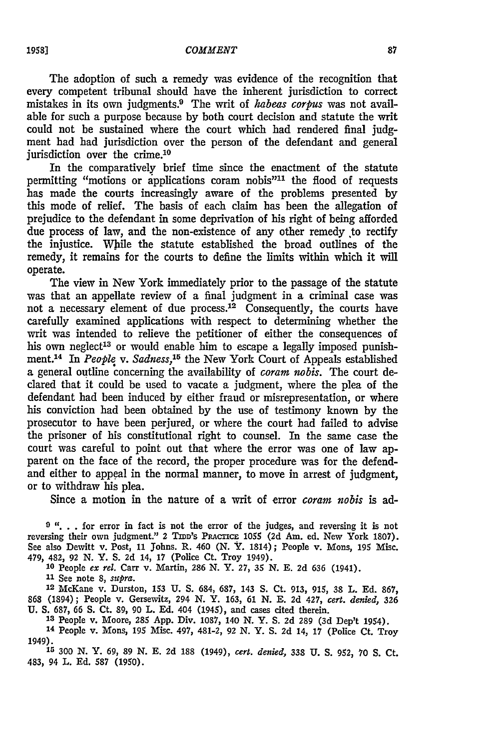The adoption of such a remedy was evidence of the recognition that every competent tribunal should have the inherent jurisdiction to correct mistakes in its own judgments.9 The writ of *habeas corpus* was not available for such a purpose because by both court decision and statute the writ could not be sustained where the court which had rendered final **judg**ment had had jurisdiction over the person of the defendant and general jurisdiction over the crime.<sup>10</sup>

In the comparatively brief time since the enactment of the statute permitting "motions or applications coram nobis"<sup>11</sup> the flood of requests has made the courts increasingly aware of the problems presented by this mode of relief. The basis of each claim has been the allegation of prejudice to the defendant in some deprivation of his right of being afforded due process of law, and the non-existence of any other remedy to rectify the injustice. While the statute established the broad outlines of the remedy, it remains for the courts to define the limits within which it will operate.

The view in New York immediately prior to the passage of the statute was that an appellate review of a final judgment in a criminal case was not a necessary element of due process.<sup>12</sup> Consequently, the courts have carefully examined applications with respect to determining whether the writ was intended to relieve the petitioner of either the consequences of his own neglect<sup>13</sup> or would enable him to escape a legally imposed punishment.14 In *People v. Sadness,15* the New York Court of Appeals established a general outline concerning the availability of *coram nobis.* The court declared that it could be used to vacate a judgment, where the plea of the defendant had been induced by either fraud or misrepresentation, or where his conviction had been obtained by the use of testimony known by the prosecutor to have been perjured, or where the court had failed to advise the prisoner of his constitutional right to counsel. In the same case the court was careful to point out that where the error was one of law apparent on the face of the record, the proper procedure was for the defendand either to appeal in the normal manner, to move in arrest of judgment, or to withdraw his plea.

Since a motion in the nature of a writ of error *coram nobis* is ad-

**9 ". .** .for error in fact is not the error of the judges, and reversing it is not reversing their own judgment." 2 TIDD'S PRACTICE 1055 (2d Am. ed. New York 1807). See also Dewitt v. Post, 11 Johns. R. 460 (N. Y. 1814); People v. Mons, 195 Misc. 479, 482, **92 N.** Y. **S. 2d** 14, **17** (Police Ct. Troy 1949).

**10** People *ex rel.* Carr v. Martin, **286 N.** Y. **27, 35 N. E. 2d 636** (1941).

**11** See note 8, *supra.*

**<sup>12</sup>**McKane v. Durston, **153 U.** S. 684, 687, 143 S. Ct. 913, 915, 38 L. **Ed.** 867, 868 (1894); People v. Gersewitz, 294 **N.** Y. 163, 61 N. E. **2d** 427, *cert. denied,* 326 **U. S.** 687, 66 S. Ct. 89, 90 L. **Ed.** 404 (1945), and cases cited therein.

**'3** People v. Moore, **285** App. Div. 1087, 140 N. Y. S. **2d 289** (3d Dep't 1954). <sup>14</sup>People v. Mons, **195** Misc. 497, 481-2, **92** N. Y. S. 2d 14, **17** (Police Ct. Troy 1949).

**<sup>15</sup>300 N.** Y. **69, 89 N. E. 2d** 188 (1949), *cert. denied,* **338 U. S. 952, 70 S.** Ct. 483, 94 L. **Ed. 587 (1950).**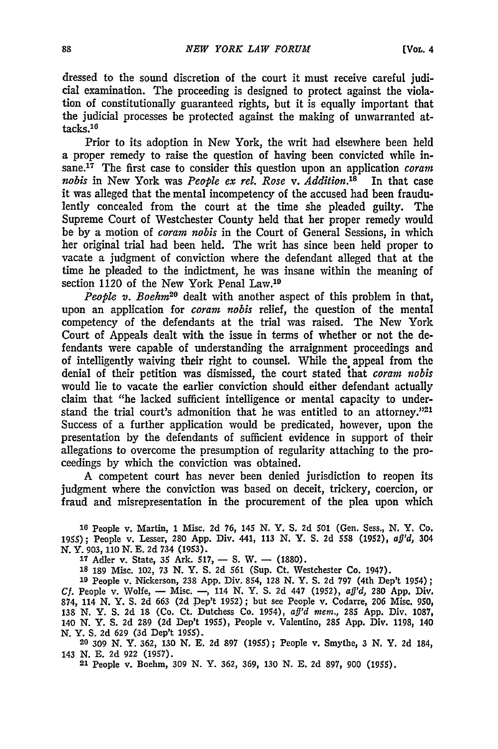dressed to the sound discretion of the court it must receive careful judicial examination. The proceeding is designed to protect against the violation of constitutionally guaranteed rights, but it is equally important that the judicial processes be protected against the making of unwarranted at $tacks<sub>16</sub>$ 

Prior to its adoption in New York, the writ had elsewhere been held a proper remedy to raise the question of having been convicted while in**sane.17** The first case to consider this question upon an application *coram nobis* in New York was *People ex rel. Rose v. Addition.'8* In that case it was alleged that the mental incompetency of the accused had been fraudulently concealed from the court at the time she pleaded guilty. The Supreme Court of Westchester County held that her proper remedy would be **by** a motion of *coram nobis* in the Court of General Sessions, in which her original trial had been held. The writ has since been held proper to vacate a judgment of conviction where the defendant alleged that at the time he pleaded to the indictment, he was insane within the meaning of section 1120 of the New York Penal Law.<sup>19</sup>

*People v. Boehm*<sup>20</sup> dealt with another aspect of this problem in that, upon an application for *coram nobis* relief, the question of the mental competency of the defendants at the trial was raised. The New York Court of Appeals dealt with the issue in terms of whether or not the defendants were capable of understanding the arraignment proceedings and of intelligently waiving their right to counsel. While the appeal from the denial of their petition was dismissed, the court stated that *coram nobis* would lie to vacate the earlier conviction should either defendant actually claim that "he lacked sufficient intelligence or mental capacity to understand the trial court's admonition that he was entitled to an attorney."<sup>21</sup> Success of a further application would be predicated, however, upon the presentation **by** the defendants of sufficient evidence in support of their allegations to overcome the presumption of regularity attaching to the proceedings **by** which the conviction was obtained.

**A** competent court has never been denied jurisdiction to reopen its judgment where the conviction was based on deceit, trickery, coercion, or fraud and misrepresentation in the procurement of the plea upon which

**18 People v. Martin, 1** Misc. **2d 76, 145 N. Y. S. 2d 501 (Gen. Sess., N. Y. Co. 1955); People v. Lesser, 280 App. Div. 441, 113 N. Y. S. 2d 558 (1952),** *aft'd,* **304 N. Y. 903, 110 N. E. 2d 734 (1953).**

17 Adler v. State, 35 Ark. 517, - S. W. - (1880).

**18 189 Misc. 102, 73 N. Y. S. 2d 561 (Sup. Ct. Westchester Co. 1947).**

**<sup>19</sup>People v. Nickerson, 238 App. Div. 854, 128 N. Y. S. 2d 797 (4th Dep't 1954);** *Cf.* **People v. Wolfe, - Misc. -, 114 N. Y. S. 2d 447 (1952),** *aff'd,* 280 **App. Div. 874, 114 N. Y. S. 2d 663 (2d Pep't 1952); but see People v. Codarre, 206 Misc. 950, 138 N. Y. S. 2d 18 (Co. Ct. Dutchess Co. 1954),** *aff'd mern.,* **285 App. Div. 1087, 140 N. Y. S. 2d 289 (2d Dep't 1955), People v. Valentino, 285 App. Div. 1198, 140 N. Y. S. 2d 629 (3d Dep't 1955).**

**20 309 N. Y. 362, 130 N. E. 2d 897 (1955); People v. Smythe, 3 N. Y. 2d 184, 143 N. E. 2d 922 (1957).**

**21** People v. Boehm, **309 N. Y. 362, 369, 130 N. E. 2d 897, 900 (1955).**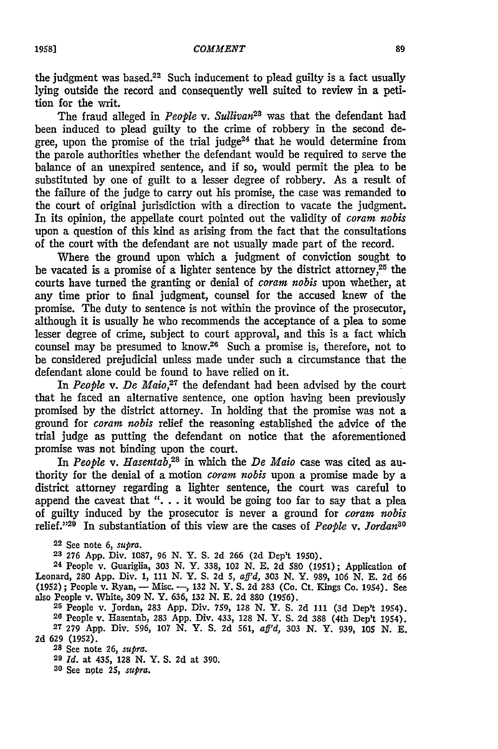the judgment was based.<sup>22</sup> Such inducement to plead guilty is a fact usually lying outside the record and consequently well suited to review in a petition for the writ.

The fraud alleged in *People v. Sullivan28* was that the defendant had been induced to plead guilty to the crime of robbery in the second degree, upon the promise of the trial judge<sup>24</sup> that he would determine from the parole authorities whether the defendant would be required to serve the balance of an unexpired sentence, and if so, would permit the plea to be substituted **by** one of guilt to a lesser degree of robbery. As a result of the failure of the judge to carry out his promise, the case was remanded to the court of original jurisdiction with a direction to vacate the judgment. In its opinion, the appellate court pointed out the validity of *coram nobis* upon a question of this kind as arising from the fact that the consultations of the court with the defendant are not usually made part of the record.

Where the ground upon which a judgment of conviction sought to be vacated is a promise of a lighter sentence by the district attorney,<sup>25</sup> the courts have turned the granting or denial of *coram nobis* upon whether, at any time prior to final judgment, counsel for the accused knew of the promise. The duty to sentence is not within the province of the prosecutor, although it is usually he who recommends the acceptance of a plea to some lesser degree of crime, subject to court approval, and this is a fact which counsel may be presumed to know.<sup>26</sup> Such a promise is, therefore, not to be considered prejudicial unless made under such a circumstance that the defendant alone could be found to have relied on it.

In *People v. De Maio*,<sup>27</sup> the defendant had been advised by the court that he faced an alternative sentence, one option having been previously promised by the district attorney. In holding that the promise was not a ground for *coram nobis* relief the reasoning established the advice of the trial judge as putting the defendant on notice that the aforementioned promise was not binding upon the court.

In *People v. Hasentab*,<sup>28</sup> in which the *De Maio* case was cited as authority for the denial of a motion *coram nobis* upon a promise made by a district attorney regarding a lighter sentence, the court was careful to append the caveat that **". .** . it would be going too far to say that a plea of guilty induced by the prosecutor is never a ground for *coram nobis* relief."<sup>29</sup> In substantiation of this view are the cases of *People v. Jordan<sup>3</sup>* 

22 See **note 6,** *supra.*

**23 276 App.** Div. **1087, 96 N. Y. S. 2d 266 (2d** Dep't **1950).**

**<sup>24</sup>**People v. Guariglia, **303** *N.* **Y. 338,** 102 **N. E. 2d 580 (1951);** Application of Leonard, **280 App.** Div. **1, 111 N.** Y. **S. 2d 5,** *aff'd,* **303 N. Y. 989, 106 N. E. 2d 66 (1952) ;** People v. Ryan, - Misc. **-, 132 N.** Y. **S. 2d 283** (Co. Ct. Kings Co. 1954). See also People v. White, **309 N.** Y. **636, 132 N. E. 2d 880 (1956). <sup>25</sup>**People v. Jordan, **283 App.** Div. **759, 128 N.** Y. **S. 2d 111 (3d Dep't** 1954).

**28** People v. Hasentab, **283 App.** Div. 433, **128 N.** Y. **S. 2d 388** (4th Dep't 1954). **27 279 App.** Div. **596, 107 N. Y. S. 2d 561,** *aff'd,* **303 N. Y. 939, 105 N. E. 2d 629 (1952).**

**28** See **note 26,** *supra.*

**29** *Id.* **at** 435, **128 N. Y. S. 2d at 390.**

**30** See **npte 25,** *supra.*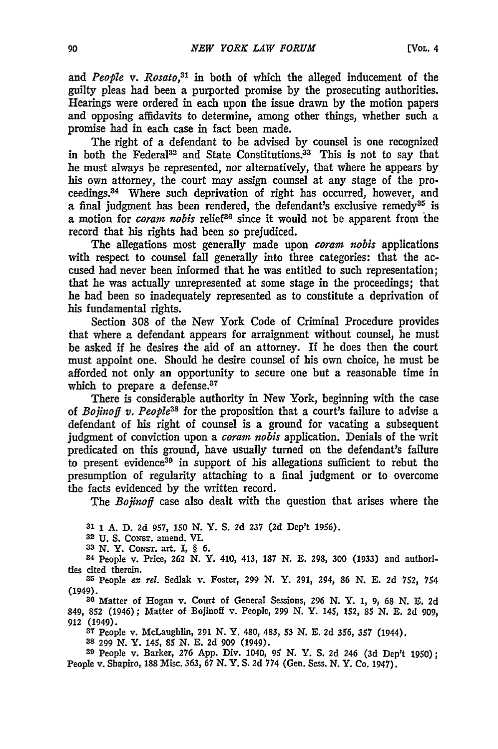and *People v. Rosato*,<sup>31</sup> in both of which the alleged inducement of the guilty pleas had been a purported promise **by** the prosecuting authorities. Hearings were ordered in each upon the issue drawn by the motion papers and opposing affidavits to determine, among other things, whether such a promise had in each case in fact been made.

The right of a defendant to be advised by counsel is one recognized in both the Federal<sup>32</sup> and State Constitutions.<sup>33</sup> This is not to say that he must always be represented, nor alternatively, that where he appears by his own attorney, the court may assign counsel at any stage of the proceedings. 34 Where such deprivation of right has occurred, however, and a final judgment has been rendered, the defendant's exclusive remedy<sup>35</sup> is a motion for *coram nobis* relief<sup>36</sup> since it would not be apparent from the record that his rights had been so prejudiced.

The allegations most generally made upon *coram nobis* applications with respect to counsel fall generally into three categories: that the accused had never been informed that he was entitled to such representation; that he was actually unrepresented at some stage in the proceedings; that he had been so inadequately represented as to constitute a deprivation of his fundamental rights.

Section 308 of the New York Code of Criminal Procedure provides that where a defendant appears for arraignment without counsel, he must be asked if he desires the aid of an attorney. If he does then the court must appoint one. Should he desire counsel of his own choice, he must be afforded not only an opportunity to secure one but a reasonable time in which to prepare a defense.<sup>37</sup>

There is considerable authority in New York, beginning with the case of *Bojinoff v. People*<sup>38</sup> for the proposition that a court's failure to advise a defendant of his right of counsel is a ground for vacating a subsequent judgment of conviction upon a *coram nobis* application. Denials of the writ predicated on this ground, have usually turned on the defendant's failure to present evidence<sup>39</sup> in support of his allegations sufficient to rebut the presumption of regularity attaching to a final judgment or to overcome the facts evidenced by the written record.

The *Bofinoff* case also dealt with the question that arises where the

**31 1** A. D. **2d** 957, 150 N. Y. **S.** 2d 237 **(2d** Dep't 1956).

**32 U.** S. Cowsr. amend. VI.

**<sup>33</sup>**N. Y. CoNsT. art. **I,** § **6.**

34 People v. Price, **262** N. **Y.** 410, 413, **187 N. E. 298,** 300 **(1933)** and authorities cited therein.

**<sup>35</sup>**People ex *rel.* Sedlak v. Foster, **299 N.** Y. **291,** 294, 86 **N. E. 2d 752,** *754* (1949).

**<sup>38</sup>**Matter of Hogan v. Court of General Sessions, **296 N.** Y. 1, 9, 68 **N.** E. **2d** 849, **852** (1946); Matter of Bojinoff v. People, 299 **N.** Y. 145, 152, 85 **N. E. 2d** 909, **912** (1949).

**37** People v. McLaughlin, 291 N. **Y.** 480, 483, 53 **N. E. 2d** 356, **357** (1944).

**38 299** N. **Y.** 145, 85 N. **E. 2d** 909 (1949).

**39** People v. Barker, **276** App. Div. 1040, 95 **N.** *Y.* **S.** 2d 246 **(3d** Dep't 1950); People v. Shapiro, 188 Misc. 363, 67 N. Y. **S.** 2d **774** (Gen. Sess. N. Y. Co. 1947).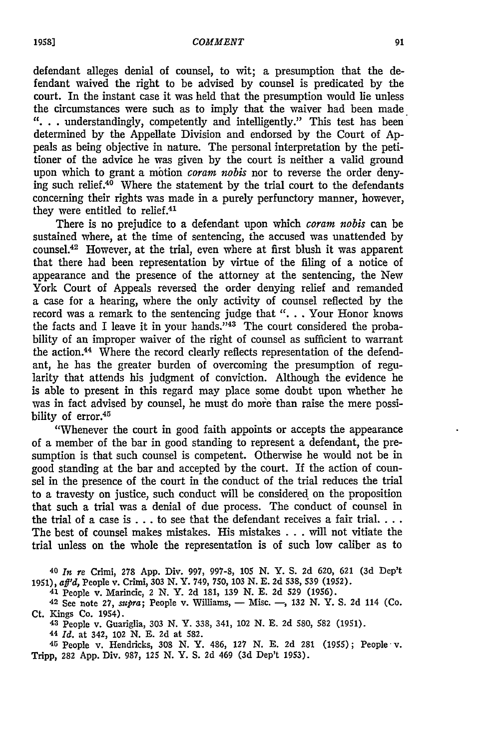defendant alleges denial of counsel, to wit; a presumption that the defendant waived the right to be advised by counsel is predicated by the court. In the instant case it was held that the presumption would lie unless the circumstances were such as to imply that the waiver had been made **"..** .understandingly, competently and intelligently." This test has been determined by the Appellate Division and endorsed by the Court of Appeals as being objective in nature. The personal interpretation by the petitioner of the advice he was given by the court is neither a valid ground upon which to grant a motion *coram nobis* nor to reverse the order denying such relief. $40$  Where the statement by the trial court to the defendants concerning their rights was made in a purely perfunctory manner, however, they were entitled to relief.<sup>41</sup>

There is no prejudice to a defendant upon which *coram nobis* can be sustained where, at the time of sentencing, the accused was unattended by counsel.<sup>42</sup> However, at the trial, even where at first blush it was apparent that there had been representation by virtue of the filing of a notice of appearance and the presence of the attorney at the sentencing, the New York Court of Appeals reversed the order denying relief and remanded a case for a hearing, where the only activity of counsel reflected by the record was a remark to the sentencing judge that ". . . Your Honor knows the facts and I leave it in your hands."43 The court considered the probability of an improper waiver of the right of counsel as sufficient to warrant the action.<sup>44</sup> Where the record clearly reflects representation of the defendant, he has the greater burden of overcoming the presumption of regularity that attends his judgment of conviction. Although the evidence he is able to present in this regard may place some doubt upon whether he was in fact advised by counsel, he must do more than raise the mere possibility of error.<sup>45</sup>

"Whenever the court in good faith appoints or accepts the appearance of a member of the bar in good standing to represent a defendant, the presumption is that such counsel is competent. Otherwise he would not be in good standing at the bar and accepted by the court. If the action of counsel in the presence of the court in the conduct of the trial reduces the trial to a travesty on justice, such conduct will be considered, on the proposition that such a trial was a denial of due process. The conduct of counsel in the trial of a case is ... to see that the defendant receives a fair **trial....** The best of counsel makes mistakes. His mistakes .. . will not vitiate the trial unless on the whole the representation is of such low caliber as to

<sup>40</sup>*In re* Crimi, 278 App. Div. 997, 997-8, **105** N. Y. S. **2d** 620, **621 (3d** Dep't 1951), *afl'd,* People v. Crimi, 303 N. Y. 749, 750, 103 N. **E. 2d** 538, 539 **(1952).**

<sup>41</sup>People v. Marincic, 2 N. Y. **2d** 181, 139 **N. E. 2d** 529 (1956).

**42** See note **27, supra;** People v. Williams, - Misc. **-,** 132 N. Y. S. **2d** 114 (Co. Ct. Kings Co. 1954).

**<sup>43</sup>**People v. Guariglia, 303 N. Y. 338, 341, 102 N. **E.** 2d 580, 582 (1951).

<sup>44</sup>*Id.* at 342, 102 N. **E.** 2d at 582.

45 People v. Hendricks, **308** N. Y. 486, 127 N. **E.** 2d 281 (1955); People' v. Tripp, **282** App. Div. 987, 125 N. Y. S. 2d 469 **(3d** Dep't 1953).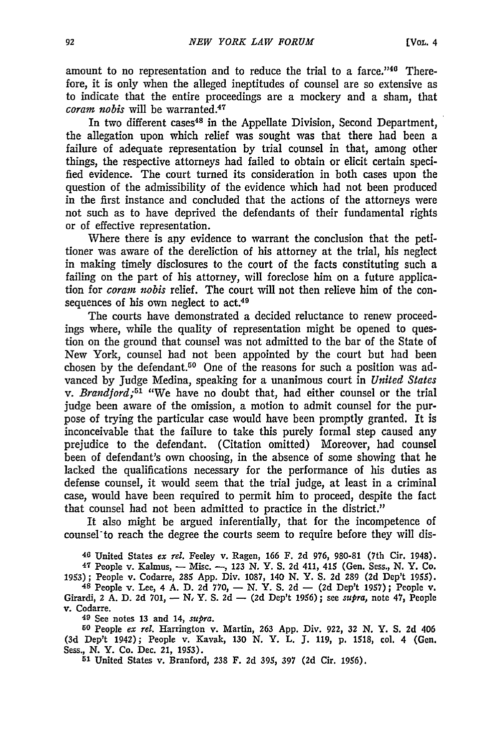amount to no representation and to reduce the trial to a farce." $40^{\circ}$  Therefore, it is only when the alleged ineptitudes of counsel are so extensive as to indicate that the entire proceedings are a mockery and a sham, that *coram nobis* will be warranted.<sup>47</sup>

In two different cases<sup>48</sup> in the Appellate Division, Second Department, the allegation upon which relief was sought was that there had been a failure of adequate representation **by** trial counsel in that, among other things, the respective attorneys had failed to obtain or elicit certain specified evidence. The court turned its consideration in both cases upon the question of the admissibility of the evidence which had not been produced in the first instance and concluded that the actions of the attorneys were not such as to have deprived the defendants of their fundamental rights or of effective representation.

Where there is any evidence to warrant the conclusion that the petitioner was aware of the dereliction of his attorney at the trial, his neglect in making timely disclosures to the court of the facts constituting such a failing on the part of his attorney, will foreclose him on a future application for *corain nobis* relief. The court will not then relieve him of the consequences of his own neglect to act.<sup>49</sup>

The courts have demonstrated a decided reluctance to renew proceedings where, while the quality of representation might be opened to question on the ground that counsel was not admitted to the bar of the State of New York, counsel had not been appointed **by** the court but had been chosen **by** the defendant.50 One of the reasons for such a position was advanced **by** Judge Medina, speaking for a unanimous court in *United States v. Brandford;51* "We have no doubt that, had either counsel or the trial judge been aware of the omission, a motion to admit counsel for the purpose of trying the particular case would have been promptly granted. It is inconceivable that the failure to take this purely formal step caused any prejudice to the defendant. (Citation omitted) Moreover, **had** counsel been of defendant's own choosing, in the absence of some showing that he lacked the qualifications necessary for the performance of his duties as defense counsel, it would seem that the trial judge, at least in a criminal case, would have been required to permit him to proceed, despite the fact that counsel had not been admitted to practice in the district."

It also might be argued inferentially, that for the incompetence of counsel-to reach the degree the courts seem to require before they will dis-

**46** United States *ex rel.* Feeley v. Ragen, **166** F. **2d 976, 980-81** (7th Cir. 1948).

**47** People v. Kalmus, **-** Misc. **-, 123 N.** Y. **S. 2d** 411, 415 (Gen. Sess., **N.** Y. Co. **1953);** People v. Codarre, **285 App.** Div. **1087,** 140 **N.** Y. **S. 2d 289 (2d** Dep't **1955).**

**48** People v. Lee, 4 **A. D. 2d 770, - N.** Y. **S. 2d - (2d** Dep't **1957);** People v.

Girardi, 2 **A. D. 2d 701, -** *N,* Y. **S. 2d - (2d** Dep't **1956);** see **supra,** note 47, People v. Codarre.

**<sup>49</sup>**See notes **13** and 14, *supra.*

**<sup>50</sup>**People *ex rel.* Harrington v. Martin, **263 App.** Div. 922, **32 N.** Y. **S. 2d** 406 **(3d** Dep't 1942); People v. Kavak, **130 N.** Y. L. **J. 119, p. 1518, col.** 4 (Gen. Sess., **N.** Y. Co. Dec. 21, **1953). <sup>51</sup>**United States v. Branford, **238** F. **2d 395, 397 (2d** Cir. **1956).**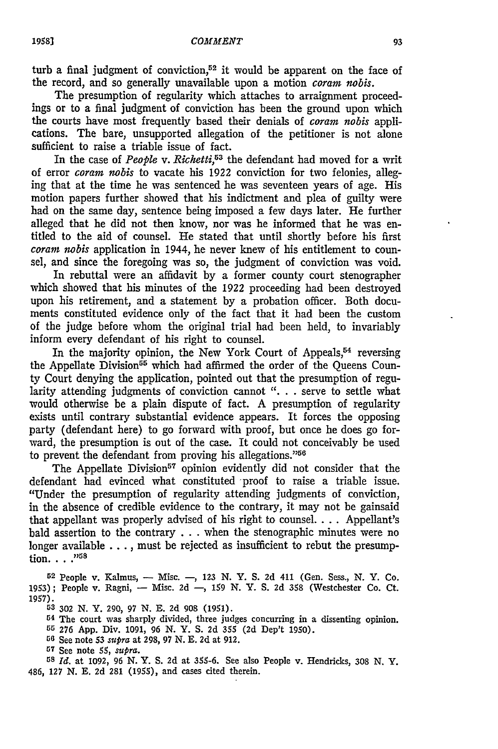turb a final judgment of conviction,<sup>52</sup> it would be apparent on the face of the record, and so generally unavailable upon a motion *coram nobis*.

The presumption of regularity which attaches to arraignment proceedings or to a final judgment of conviction has been the ground upon which the courts have most frequently based their denials of *coram nobis* applications. The bare, unsupported allegation of the petitioner is not alone sufficient to raise a triable issue of fact.

In the case of *People v. Richetti,53* the defendant had moved for a writ of error *coram nobis* to vacate his **1922** conviction for two felonies, alleging that at the time he was sentenced he was seventeen years of age. His motion papers further showed that his indictment and plea of guilty were had on the same day, sentence being imposed a few days later. He further alleged that he did not then know, nor was he informed that he was entitled to the aid of counsel. He stated that until shortly before his first *coram nobis* application in 1944, he never knew of his entitlement to counsel, and since the foregoing was so, the judgment of conviction was void.

In rebuttal were an affidavit by a former county court stenographer which showed that his minutes of the 1922 proceeding had been destroyed upon his retirement, and a statement by a probation officer. Both documents constituted evidence only of the fact that it had been the custom of the judge before whom the original trial had been held, to invariably inform every defendant of his right to counsel.

In the majority opinion, the New York Court of Appeals,<sup>54</sup> reversing the Appellate Division<sup>55</sup> which had affirmed the order of the Oueens County Court denying the application, pointed out that the presumption of regularity attending judgments of conviction cannot ". . . serve to settle what would otherwise be a plain dispute of fact. A presumption of regularity exists until contrary substantial evidence appears. It forces the opposing party (defendant here) to go forward with proof, but once he does go forward, the presumption is out of the case. It could not conceivably be used to prevent the defendant from proving his allegations."<sup>56</sup>

The Appellate Division<sup>57</sup> opinion evidently did not consider that the defendant had evinced what constituted proof to raise a triable issue. "Under the presumption of regularity attending judgments of conviction, in the absence of credible evidence to the contrary, it may not be gainsaid that appellant was properly advised of his right to counsel **....** Appellant's bald assertion to the contrary  $\dots$  when the stenographic minutes were no longer available **. ..,** must be rejected as insufficient to rebut the presumption. . . .<sup>758</sup>

52 People v. Kalmus, - Misc. -, 123 N. Y. S. 2d 411 (Gen. Sess., N. Y. Co. 1953); People v. Ragni, - Misc. 2d -, 159 N. Y. S. 2d 358 (Westchester Co. Ct. **1957).**

<sup>53</sup>302 N. Y. 290, 97 N. E. 2d 908 (1951).

54 The court was sharply divided, three judges concurring in a dissenting opinion.

G5 276 App. Div. 1091, 96 N. Y. S. 2d **355** (2d Dep't 1950). <sup>56</sup>See note 53 *supra* at 298, 97 N. E. 2d at 912.

**<sup>57</sup>**See note **55,** *supra.*

**<sup>58</sup>***Id.* at 1092, 96 N. Y. S. 2d at 355-6. See also People v. Hendricks, 308 N. Y. 486, 127 N. **E.** 2d 281 (1955), and cases cited therein.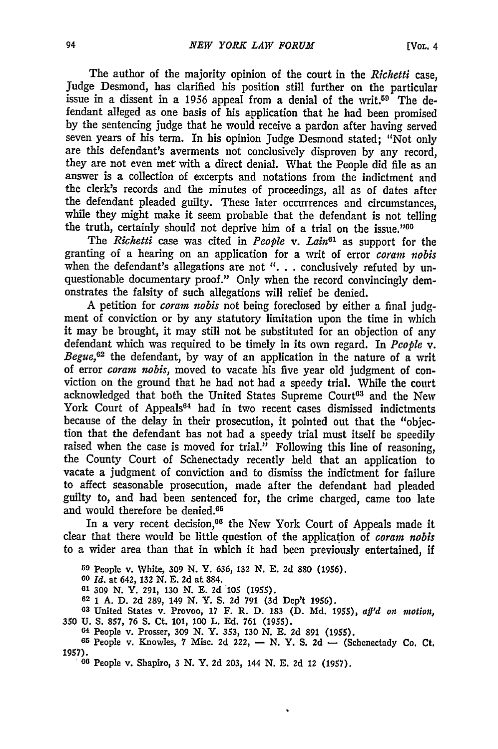The author of the majority opinion of the court in the *Richetti* case, Judge Desmond, has clarified his position still further on the particular issue in a dissent in a 1956 appeal from a denial of the writ.<sup>59</sup> The defendant alleged as one basis of his application that he had been promised by the sentencing judge that he would receive a pardon after having served seven years of his term. In his opinion Judge Desmond stated; "Not only are this defendant's averments not conclusively disproven by any record, they are not even met with a direct denial. What the People did file as an answer is a collection of excerpts and notations from the indictment and the clerk's records and the minutes of proceedings, all as of dates after the defendant pleaded guilty. These later occurrences and circumstances, while they might make it seem probable that the defendant is not telling the truth, certainly should not deprive him of a trial on the issue."<sup>00</sup>

The *Richetti* case was cited in *People* v. Lain<sup>61</sup> as support for the granting of a hearing on an application for a writ of error *coram nobis* when the defendant's allegations are not ". . . conclusively refuted by unquestionable documentary proof." Only when the record convincingly demonstrates the falsity of such allegations will relief be denied.

A petition for *coram nobis* not being foreclosed by either a final judgment of conviction or by any statutory limitation upon the time in which it may be brought, it may still not be substituted for an objection of any defendant which was required to be timely in its own regard. In *People v. Begue*,<sup> $62$ </sup> the defendant, by way of an application in the nature of a writ of error *corarn nobis,* moved to vacate his five year old judgment of conviction on the ground that he had not had a speedy trial. While the court acknowledged that both the United States Supreme Court<sup>63</sup> and the New York Court of Appeals<sup>64</sup> had in two recent cases dismissed indictments because of the delay in their prosecution, it pointed out that the "objection that the defendant has not had a speedy trial must itself be speedily raised when the case is moved for trial." Following this line of reasoning, the County Court of Schenectady recently held that an application to vacate a judgment of conviction and to dismiss the indictment for failure to affect seasonable prosecution, made after the defendant had pleaded guilty to, and had been sentenced for, the crime charged, came too late and would therefore be denied.<sup>65</sup>

In a very recent decision,<sup>66</sup> the New York Court of Appeals made it clear that there would be little question of the application of *coram nobis* to a wider area than that in which it had been previously entertained, if

**<sup>59</sup>**People **v. White, 309 N. Y. 636, 132 N. E. 2d 880 (1956). <sup>60</sup>***Id.* **at 642, 132 N. E. 2d at 884.**

**61 309 N. Y. 291, 130 N. E. 2d 105 (1955).**

**62 1 A. D. 2d 289, 149 N. Y. S. 2d 791 (3d Dep't** *1956).*

**<sup>63</sup>**United States v. Provoo, **17** F. **R. D. 183 (D. Md. 1955),** *af'd on motion,* **350 U. S. 857, 76 S.** Ct. **101, 100 L. Ed. 761 (1955).**

**<sup>64</sup>**People v. Prosser, **309 N. Y. 353, 130 N. E. 2d 891 (1955).**

**<sup>65</sup>**People v. Knowles, **7** Misc. **2d 222, - N. Y. S. 2d - (Schenectady Co. Ct. 1957).66** People v. Shapiro, **3 N. Y. 2d 203,** 144 **N. E. 2d** 12 **(1957).**

 $\bullet$